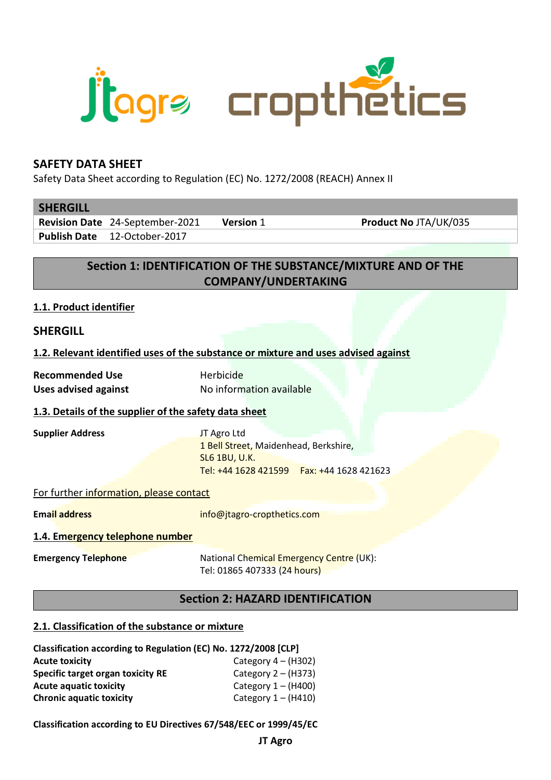

#### **SAFETY DATA SHEET**

Safety Data Sheet according to Regulation (EC) No. 1272/2008 (REACH) Annex II

#### **SHERGILL**

**Revision Date** 24-September-2021 **Version** 1 **Product No** JTA/UK/035 **Publish Date** 12-October-2017

## **Section 1: IDENTIFICATION OF THE SUBSTANCE/MIXTURE AND OF THE COMPANY/UNDERTAKING**

#### **1.1. Product identifier**

#### **SHERGILL**

#### **1.2. Relevant identified uses of the substance or mixture and uses advised against**

**Recommended Use Herbicide** 

**Uses advised against** No information available

#### **1.3. Details of the supplier of the safety data sheet**

**Supplier Address** JT Agro Ltd

1 Bell Street, Maidenhead, Berkshire, SL6 1BU, U.K. Tel: +44 1628 421599 Fax: +44 1628 421623

#### For further information, please contact

**Email address** info@jtagro-cropthetics.com

#### **1.4. Emergency telephone number**

**Emergency Telephone** National Chemical Emergency Centre (UK): Tel: 01865 407333 (24 hours)

## **Section 2: HAZARD IDENTIFICATION**

#### **2.1. Classification of the substance or mixture**

| Classification according to Regulation (EC) No. 1272/2008 [CLP] |                       |  |
|-----------------------------------------------------------------|-----------------------|--|
| <b>Acute toxicity</b>                                           | Category $4 - (H302)$ |  |
| Specific target organ toxicity RE                               | Category $2 - (H373)$ |  |
| <b>Acute aquatic toxicity</b>                                   | Category $1 - (H400)$ |  |
| <b>Chronic aquatic toxicity</b>                                 | Category $1 - (H410)$ |  |

**Classification according to EU Directives 67/548/EEC or 1999/45/EC**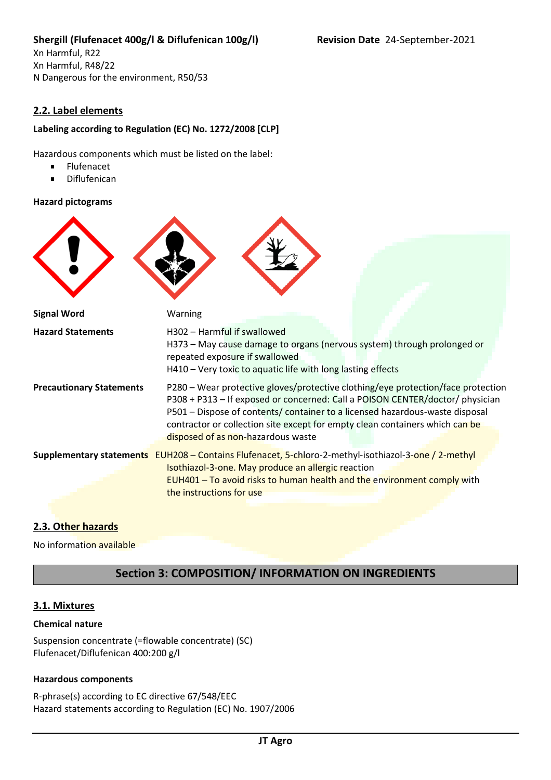## **Shergill (Flufenacet 400g/l & Diflufenican 100g/l) Revision Date** 24-September-2021

Xn Harmful, R22 Xn Harmful, R48/22 N Dangerous for the environment, R50/53

#### **2.2. Label elements**

#### **Labeling according to Regulation (EC) No. 1272/2008 [CLP]**

Hazardous components which must be listed on the label:

- Flufenacet  $\blacksquare$
- Diflufenican  $\blacksquare$

#### **Hazard pictograms**

| <b>Signal Word</b>              | Warning                                                                                                                                                                                                                                                                                                                                                                 |
|---------------------------------|-------------------------------------------------------------------------------------------------------------------------------------------------------------------------------------------------------------------------------------------------------------------------------------------------------------------------------------------------------------------------|
| <b>Hazard Statements</b>        | H302 - Harmful if swallowed<br>H373 - May cause damage to organs (nervous system) through prolonged or<br>repeated exposure if swallowed<br>H410 - Very toxic to aquatic life with long lasting effects                                                                                                                                                                 |
| <b>Precautionary Statements</b> | P280 – Wear protective gloves/protective clothing/eye protection/face protection<br>P308 + P313 - If exposed or concerned: Call a POISON CENTER/doctor/ physician<br>P501 - Dispose of contents/ container to a licensed hazardous-waste disposal<br>contractor or collection site except for empty clean containers which can be<br>disposed of as non-hazardous waste |
|                                 | Supplementary statements EUH208 - Contains Flufenacet, 5-chloro-2-methyl-isothiazol-3-one / 2-methyl<br>Isothiazol-3-one. May produce an allergic reaction<br>EUH401 - To avoid risks to human health and the environment comply with<br>the instructions for use                                                                                                       |

#### **2.3. Other hazards**

No information available

## **Section 3: COMPOSITION/ INFORMATION ON INGREDIENTS**

#### **3.1. Mixtures**

#### **Chemical nature**

Suspension concentrate (=flowable concentrate) (SC) Flufenacet/Diflufenican 400:200 g/l

#### **Hazardous components**

R-phrase(s) according to EC directive 67/548/EEC Hazard statements according to Regulation (EC) No. 1907/2006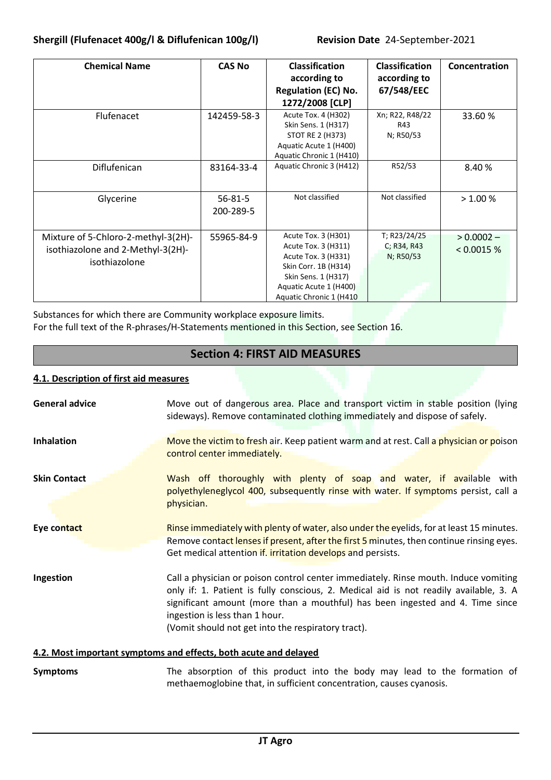| <b>Chemical Name</b>                                                                      | <b>CAS No</b>              | <b>Classification</b><br>according to<br><b>Regulation (EC) No.</b><br>1272/2008 [CLP]                                                                                | <b>Classification</b><br>according to<br>67/548/EEC | Concentration              |
|-------------------------------------------------------------------------------------------|----------------------------|-----------------------------------------------------------------------------------------------------------------------------------------------------------------------|-----------------------------------------------------|----------------------------|
| Flufenacet                                                                                | 142459-58-3                | Acute Tox. 4 (H302)<br>Skin Sens. 1 (H317)<br>STOT RE 2 (H373)<br>Aquatic Acute 1 (H400)<br>Aquatic Chronic 1 (H410)                                                  | Xn; R22, R48/22<br>R43<br>N; R50/53                 | 33.60 %                    |
| Diflufenican                                                                              | 83164-33-4                 | Aquatic Chronic 3 (H412)                                                                                                                                              | R52/53                                              | 8.40 %                     |
| Glycerine                                                                                 | $56 - 81 - 5$<br>200-289-5 | Not classified                                                                                                                                                        | Not classified                                      | > 1.00 %                   |
| Mixture of 5-Chloro-2-methyl-3(2H)-<br>isothiazolone and 2-Methyl-3(2H)-<br>isothiazolone | 55965-84-9                 | Acute Tox. 3 (H301)<br>Acute Tox. 3 (H311)<br>Acute Tox. 3 (H331)<br>Skin Corr. 1B (H314)<br>Skin Sens. 1 (H317)<br>Aquatic Acute 1 (H400)<br>Aquatic Chronic 1 (H410 | T; R23/24/25<br>C; R34, R43<br>N; R50/53            | $> 0.0002 -$<br>< 0.0015 % |

Substances for which there are Community workplace exposure limits. For the full text of the R-phrases/H-Statements mentioned in this Section, see Section 16.

## **Section 4: FIRST AID MEASURES**

#### **4.1. Description of first aid measures**

| <b>General advice</b> | Move out of dangerous area. Place and transport victim in stable position (lying<br>sideways). Remove contaminated clothing immediately and dispose of safely.                                                                                                                                                                                        |
|-----------------------|-------------------------------------------------------------------------------------------------------------------------------------------------------------------------------------------------------------------------------------------------------------------------------------------------------------------------------------------------------|
| <b>Inhalation</b>     | Move the victim to fresh air. Keep patient warm and at rest. Call a physician or poison<br>control center immediately.                                                                                                                                                                                                                                |
| <b>Skin Contact</b>   | Wash off thoroughly with plenty of soap and water, if available with<br>polyethyleneglycol 400, subsequently rinse with water. If symptoms persist, call a<br>physician.                                                                                                                                                                              |
| Eye contact           | Rinse immediately with plenty of water, also under the eyelids, for at least 15 minutes.<br>Remove contact lenses if present, after the first 5 minutes, then continue rinsing eyes.<br>Get medical attention if. irritation develops and persists.                                                                                                   |
| Ingestion             | Call a physician or poison control center immediately. Rinse mouth. Induce vomiting<br>only if: 1. Patient is fully conscious, 2. Medical aid is not readily available, 3. A<br>significant amount (more than a mouthful) has been ingested and 4. Time since<br>ingestion is less than 1 hour.<br>(Vomit should not get into the respiratory tract). |
|                       | 4.2. Most important symptoms and effects, both acute and delayed                                                                                                                                                                                                                                                                                      |
|                       | when the contract of the contract of the contract of the contract of the contract of the contract of the contract of the contract of the contract of the contract of the contract of the contract of the contract of the contr                                                                                                                        |

**Symptoms** The absorption of this product into the body may lead to the formation of methaemoglobine that, in sufficient concentration, causes cyanosis.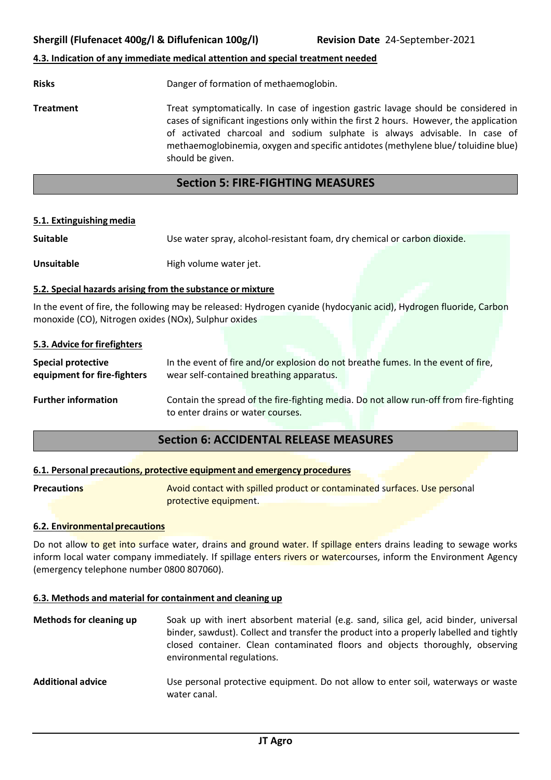#### **4.3. Indication of any immediate medical attention and special treatment needed**

**Risks Danger of formation of methaemoglobin.** 

**Treatment** Treat symptomatically. In case of ingestion gastric lavage should be considered in cases of significant ingestions only within the first 2 hours. However, the application of activated charcoal and sodium sulphate is always advisable. In case of methaemoglobinemia, oxygen and specific antidotes (methylene blue/ toluidine blue) should be given.

## **Section 5: FIRE-FIGHTING MEASURES**

#### **5.1. Extinguishing media**

**Suitable** Use water spray, alcohol-resistant foam, dry chemical or carbon dioxide. **Unsuitable** High volume water jet.

#### **5.2. Special hazards arising from the substance or mixture**

In the event of fire, the following may be released: Hydrogen cyanide (hydocyanic acid), Hydrogen fluoride, Carbon monoxide (CO), Nitrogen oxides (NOx), Sulphur oxides

#### **5.3. Advice for firefighters**

| <b>Special protective</b><br>equipment for fire-fighters |                                   | wear self-contained breathing apparatus. | In the event of fire and/or explosion do not breathe fumes. In the event of fire,      |  |
|----------------------------------------------------------|-----------------------------------|------------------------------------------|----------------------------------------------------------------------------------------|--|
| <b>Further information</b>                               | to enter drains or water courses. |                                          | Contain the spread of the fire-fighting media. Do not allow run-off from fire-fighting |  |

#### **Section 6: ACCIDENTAL RELEASE MEASURES**

#### **6.1. Personal precautions, protective equipment and emergency procedures**

**Precautions Avoid contact with spilled product or contaminated surfaces. Use personal** protective equipment.

#### **6.2. Environmental precautions**

Do not allow to get into surface water, drains and ground water. If spillage enters drains leading to sewage works inform local water company immediately. If spillage enters rivers or watercourses, inform the Environment Agency (emergency telephone number 0800 807060).

#### **6.3. Methods and material for containment and cleaning up**

**Methods for cleaning up** Soak up with inert absorbent material (e.g. sand, silica gel, acid binder, universal binder, sawdust). Collect and transfer the product into a properly labelled and tightly closed container. Clean contaminated floors and objects thoroughly, observing environmental regulations. **Additional advice** Use personal protective equipment. Do not allow to enter soil, waterways or waste water canal.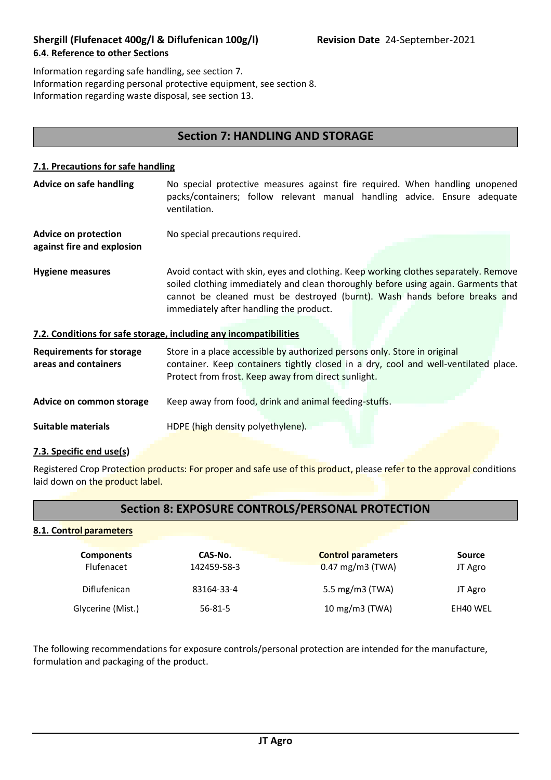Information regarding safe handling, see section 7. Information regarding personal protective equipment, see section 8. Information regarding waste disposal, see section 13.

## **Section 7: HANDLING AND STORAGE**

#### **7.1. Precautions for safe handling**

| Advice on safe handling                                   | No special protective measures against fire required. When handling unopened<br>packs/containers; follow relevant manual handling advice. Ensure adequate<br>ventilation.                                                                                                                         |
|-----------------------------------------------------------|---------------------------------------------------------------------------------------------------------------------------------------------------------------------------------------------------------------------------------------------------------------------------------------------------|
| <b>Advice on protection</b><br>against fire and explosion | No special precautions required.                                                                                                                                                                                                                                                                  |
| <b>Hygiene measures</b>                                   | Avoid contact with skin, eyes and clothing. Keep working clothes separately. Remove<br>soiled clothing immediately and clean thoroughly before using again. Garments that<br>cannot be cleaned must be destroyed (burnt). Wash hands before breaks and<br>immediately after handling the product. |
|                                                           | 7.2. Conditions for safe storage, including any incompatibilities                                                                                                                                                                                                                                 |
| <b>Requirements for storage</b><br>aroas and containors   | Store in a place accessible by authorized persons only. Store in original<br>container Keen containers tightly closed in a dry cool and well-ventilated place                                                                                                                                     |

| areas and containers     | container. Keep containers tightly closed in a dry, cool and well-ventilated place.<br>Protect from frost. Keep away from direct sunlight. |
|--------------------------|--------------------------------------------------------------------------------------------------------------------------------------------|
| Advice on common storage | Keep away from food, drink and animal feeding-stuffs.                                                                                      |

**Suitable materials** HDPE (high density polyethylene).

#### **7.3. Specific end use(s)**

Registered Crop Protection products: For proper and safe use of this product, please refer to the approval conditions laid down on the product label.

## **Section 8: EXPOSURE CONTROLS/PERSONAL PROTECTION**

#### **8.1. Control parameters**

| <b>Components</b><br>Flufenacet | CAS-No.<br>142459-58-3 | <b>Control parameters</b><br>$0.47$ mg/m3 (TWA) | <b>Source</b><br>JT Agro |
|---------------------------------|------------------------|-------------------------------------------------|--------------------------|
| Diflufenican                    | 83164-33-4             | 5.5 mg/m3 (TWA)                                 | JT Agro                  |
| Glycerine (Mist.)               | $56 - 81 - 5$          | $10 \text{ mg/m}$ 3 (TWA)                       | EH40 WEL                 |

The following recommendations for exposure controls/personal protection are intended for the manufacture, formulation and packaging of the product.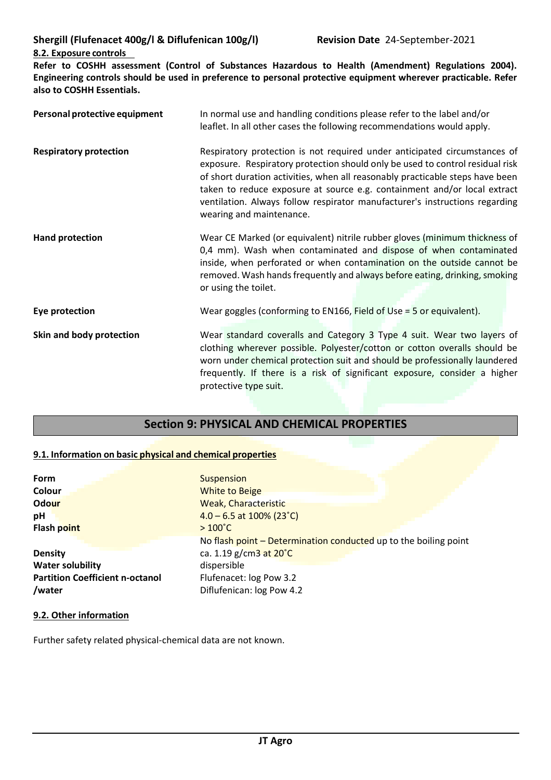**Shergill (Flufenacet 400g/l & Diflufenican 100g/l) Revision Date** 24-September-2021

# **8.2. Exposure controls**

**Refer to COSHH assessment (Control of Substances Hazardous to Health (Amendment) Regulations 2004). Engineering controls should be used in preference to personal protective equipment wherever practicable. Refer also to COSHH Essentials.** 

| Personal protective equipment | In normal use and handling conditions please refer to the label and/or<br>leaflet. In all other cases the following recommendations would apply.                                                                                                                                                                                                                                                                                   |
|-------------------------------|------------------------------------------------------------------------------------------------------------------------------------------------------------------------------------------------------------------------------------------------------------------------------------------------------------------------------------------------------------------------------------------------------------------------------------|
| <b>Respiratory protection</b> | Respiratory protection is not required under anticipated circumstances of<br>exposure. Respiratory protection should only be used to control residual risk<br>of short duration activities, when all reasonably practicable steps have been<br>taken to reduce exposure at source e.g. containment and/or local extract<br>ventilation. Always follow respirator manufacturer's instructions regarding<br>wearing and maintenance. |
| <b>Hand protection</b>        | Wear CE Marked (or equivalent) nitrile rubber gloves (minimum thickness of<br>0,4 mm). Wash when contaminated and dispose of when contaminated<br>inside, when perforated or when contamination on the outside cannot be<br>removed. Wash hands frequently and always before eating, drinking, smoking<br>or using the toilet.                                                                                                     |
| Eye protection                | Wear goggles (conforming to EN166, Field of Use = 5 or equivalent).                                                                                                                                                                                                                                                                                                                                                                |
| Skin and body protection      | Wear standard coveralls and Category 3 Type 4 suit. Wear two layers of<br>clothing wherever possible. Polyester/cotton or cotton overalls should be<br>worn under chemical protection suit and should be professionally laundered<br>frequently. If there is a risk of significant exposure, consider a higher<br>protective type suit.                                                                                            |

## **Section 9: PHYSICAL AND CHEMICAL PROPERTIES**

#### **9.1. Information on basic physical and chemical properties**

| Form<br>Colour<br>Odour<br>pH<br>Flash point | Suspension<br><b>White to Beige</b><br><b>Weak, Characteristic</b><br>$4.0 - 6.5$ at 100% (23°C)<br>$>100^{\circ}$ C<br>No flash point – Determination conducted up to the boiling point |
|----------------------------------------------|------------------------------------------------------------------------------------------------------------------------------------------------------------------------------------------|
| <b>Density</b>                               | ca. 1.19 g/cm3 at 20°C                                                                                                                                                                   |
| <b>Water solubility</b>                      | dispersible                                                                                                                                                                              |
| <b>Partition Coefficient n-octanol</b>       | Flufenacet: log Pow 3.2                                                                                                                                                                  |
| /water                                       | Diflufenican: log Pow 4.2                                                                                                                                                                |

#### **9.2. Other information**

Further safety related physical-chemical data are not known.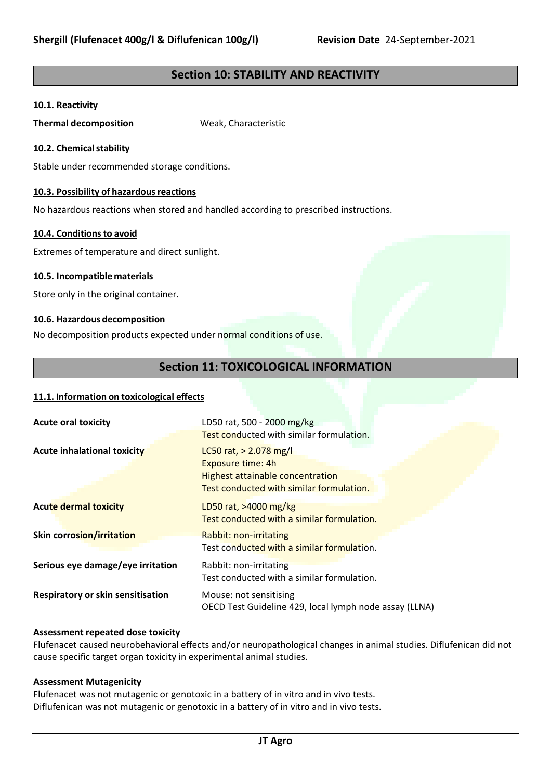## **Section 10: STABILITY AND REACTIVITY**

#### **10.1. Reactivity**

**Thermal decomposition** Weak, Characteristic

#### **10.2. Chemical stability**

Stable under recommended storage conditions.

#### **10.3. Possibility of hazardous reactions**

No hazardous reactions when stored and handled according to prescribed instructions.

#### **10.4. Conditionsto avoid**

Extremes of temperature and direct sunlight.

#### **10.5. Incompatible materials**

Store only in the original container.

#### **10.6. Hazardous decomposition**

No decomposition products expected under normal conditions of use.

## **Section 11: TOXICOLOGICAL INFORMATION**

#### **11.1. Information on toxicological effects**

| <b>Acute oral toxicity</b>         | LD50 rat, 500 - 2000 mg/kg<br><b>Test conducted with similar formulation.</b>                                                 |
|------------------------------------|-------------------------------------------------------------------------------------------------------------------------------|
| <b>Acute inhalational toxicity</b> | LC50 rat, $> 2.078$ mg/l<br>Exposure time: 4h<br>Highest attainable concentration<br>Test conducted with similar formulation. |
| <b>Acute dermal toxicity</b>       | LD50 rat, $>4000$ mg/kg<br>Test conducted with a similar formulation.                                                         |
| Skin corrosion/irritation          | Rabbit: non-irritating<br>Test conducted with a similar formulation.                                                          |
| Serious eye damage/eye irritation  | Rabbit: non-irritating<br>Test conducted with a similar formulation.                                                          |
| Respiratory or skin sensitisation  | Mouse: not sensitising<br>OECD Test Guideline 429, local lymph node assay (LLNA)                                              |

#### **Assessment repeated dose toxicity**

Flufenacet caused neurobehavioral effects and/or neuropathological changes in animal studies. Diflufenican did not cause specific target organ toxicity in experimental animal studies.

#### **Assessment Mutagenicity**

Flufenacet was not mutagenic or genotoxic in a battery of in vitro and in vivo tests. Diflufenican was not mutagenic or genotoxic in a battery of in vitro and in vivo tests.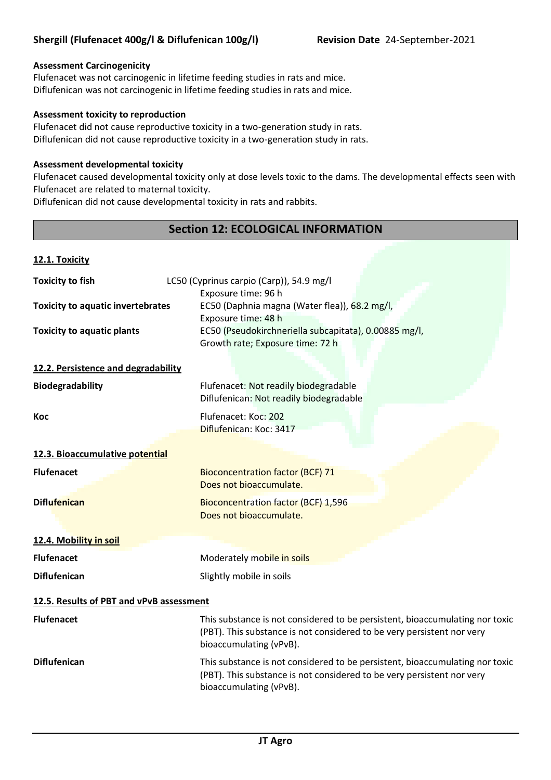#### **Assessment Carcinogenicity**

Flufenacet was not carcinogenic in lifetime feeding studies in rats and mice. Diflufenican was not carcinogenic in lifetime feeding studies in rats and mice.

#### **Assessment toxicity to reproduction**

Flufenacet did not cause reproductive toxicity in a two-generation study in rats. Diflufenican did not cause reproductive toxicity in a two-generation study in rats.

#### **Assessment developmental toxicity**

**12.1. Toxicity**

Flufenacet caused developmental toxicity only at dose levels toxic to the dams. The developmental effects seen with Flufenacet are related to maternal toxicity.

Diflufenican did not cause developmental toxicity in rats and rabbits.

## **Section 12: ECOLOGICAL INFORMATION**

| <b>Toxicity to fish</b>                  | LC50 (Cyprinus carpio (Carp)), 54.9 mg/l<br>Exposure time: 96 h                                                                                                                   |
|------------------------------------------|-----------------------------------------------------------------------------------------------------------------------------------------------------------------------------------|
| <b>Toxicity to aquatic invertebrates</b> | EC50 (Daphnia magna (Water flea)), 68.2 mg/l,<br>Exposure time: 48 h                                                                                                              |
| <b>Toxicity to aquatic plants</b>        | EC50 (Pseudokirchneriella subcapitata), 0.00885 mg/l,<br>Growth rate; Exposure time: 72 h                                                                                         |
| 12.2. Persistence and degradability      |                                                                                                                                                                                   |
| <b>Biodegradability</b>                  | Flufenacet: Not readily biodegradable<br>Diflufenican: Not readily biodegradable                                                                                                  |
| Koc                                      | Flufenacet: Koc: 202<br>Diflufenican: Koc: 3417                                                                                                                                   |
| 12.3. Bioaccumulative potential          |                                                                                                                                                                                   |
| <b>Flufenacet</b>                        | <b>Bioconcentration factor (BCF) 71</b><br>Does not bioaccumulate.                                                                                                                |
| <b>Diflufenican</b>                      | <b>Bioconcentration factor (BCF) 1,596</b><br>Does not bioaccumulate.                                                                                                             |
| 12.4. Mobility in soil                   |                                                                                                                                                                                   |
| <b>Flufenacet</b>                        | Moderately mobile in soils                                                                                                                                                        |
| <b>Diflufenican</b>                      | Slightly mobile in soils                                                                                                                                                          |
| 12.5. Results of PBT and vPvB assessment |                                                                                                                                                                                   |
| <b>Flufenacet</b>                        | This substance is not considered to be persistent, bioaccumulating nor toxic<br>(PBT). This substance is not considered to be very persistent nor very<br>bioaccumulating (vPvB). |
| <b>Diflufenican</b>                      | This substance is not considered to be persistent, bioaccumulating nor toxic<br>(PBT). This substance is not considered to be very persistent nor very<br>bioaccumulating (vPvB). |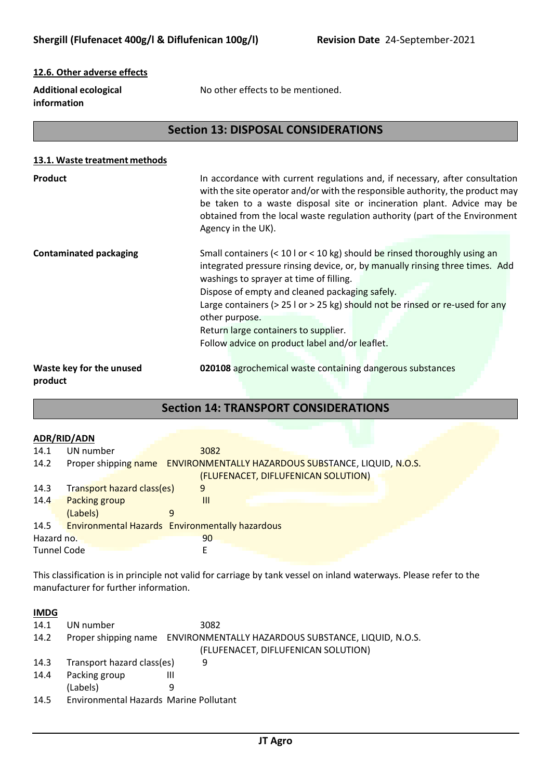#### **12.6. Other adverse effects**

**information**

Additional ecological **No other effects to be mentioned**.

## **Section 13: DISPOSAL CONSIDERATIONS**

#### **13.1. Waste treatment methods**

| <b>Product</b>                      | In accordance with current regulations and, if necessary, after consultation<br>with the site operator and/or with the responsible authority, the product may<br>be taken to a waste disposal site or incineration plant. Advice may be<br>obtained from the local waste regulation authority (part of the Environment<br>Agency in the UK).                                                                                                            |
|-------------------------------------|---------------------------------------------------------------------------------------------------------------------------------------------------------------------------------------------------------------------------------------------------------------------------------------------------------------------------------------------------------------------------------------------------------------------------------------------------------|
| <b>Contaminated packaging</b>       | Small containers (< 10 l or < 10 kg) should be rinsed thoroughly using an<br>integrated pressure rinsing device, or, by manually rinsing three times. Add<br>washings to sprayer at time of filling.<br>Dispose of empty and cleaned packaging safely.<br>Large containers ( $>$ 25 l or $>$ 25 kg) should not be rinsed or re-used for any<br>other purpose.<br>Return large containers to supplier.<br>Follow advice on product label and/or leaflet. |
| Waste key for the unused<br>product | 020108 agrochemical waste containing dangerous substances                                                                                                                                                                                                                                                                                                                                                                                               |

## **Section 14: TRANSPORT CONSIDERATIONS**

|                    | ADR/RID/ADN                                            |      |  |  |                                                            |  |  |
|--------------------|--------------------------------------------------------|------|--|--|------------------------------------------------------------|--|--|
| 14.1               | UN number                                              | 3082 |  |  |                                                            |  |  |
| 14.2               | Proper shipping name                                   |      |  |  | <b>ENVIRONMENTALLY HAZARDOUS SUBSTANCE, LIQUID, N.O.S.</b> |  |  |
|                    |                                                        |      |  |  | (FLUFENACET, DIFLUFENICAN SOLUTION)                        |  |  |
| 14.3               | Transport hazard class(es)<br>9                        |      |  |  |                                                            |  |  |
| 14.4               | Packing group                                          | Ш    |  |  |                                                            |  |  |
|                    | (Labels)                                               | 9    |  |  |                                                            |  |  |
| 14.5               | <b>Environmental Hazards</b> Environmentally hazardous |      |  |  |                                                            |  |  |
| Hazard no.         |                                                        | 90   |  |  |                                                            |  |  |
| <b>Tunnel Code</b> |                                                        |      |  |  |                                                            |  |  |

This classification is in principle not valid for carriage by tank vessel on inland waterways. Please refer to the manufacturer for further information.

#### **IMDG**

| 14.1 | UN number                              | 3082                                                                     |
|------|----------------------------------------|--------------------------------------------------------------------------|
| 14.2 |                                        | Proper shipping name ENVIRONMENTALLY HAZARDOUS SUBSTANCE, LIQUID, N.O.S. |
|      |                                        | (FLUFENACET, DIFLUFENICAN SOLUTION)                                      |
| 14.3 | Transport hazard class(es)             | 9                                                                        |
| 14.4 | Packing group                          | Ш                                                                        |
|      | (Labels)                               | q                                                                        |
| 14.5 | Environmental Hazards Marine Pollutant |                                                                          |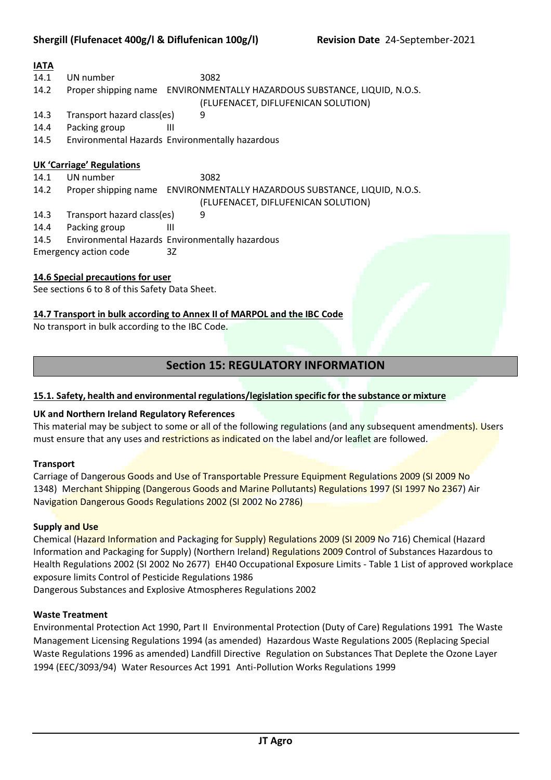| <b>IATA</b>                       |                                  |                                                                          |  |  |
|-----------------------------------|----------------------------------|--------------------------------------------------------------------------|--|--|
| 14.1                              | UN number                        | 3082                                                                     |  |  |
| 14.2                              |                                  | Proper shipping name ENVIRONMENTALLY HAZARDOUS SUBSTANCE, LIQUID, N.O.S. |  |  |
|                                   |                                  | (FLUFENACET, DIFLUFENICAN SOLUTION)                                      |  |  |
| 14.3                              | Transport hazard class(es)       | 9                                                                        |  |  |
| 14.4                              | Packing group                    | Ш                                                                        |  |  |
| 14.5                              |                                  | Environmental Hazards Environmentally hazardous                          |  |  |
|                                   |                                  |                                                                          |  |  |
|                                   | <b>UK 'Carriage' Regulations</b> |                                                                          |  |  |
| 14.1                              | UN number                        | 3082                                                                     |  |  |
| 14.2                              |                                  | Proper shipping name ENVIRONMENTALLY HAZARDOUS SUBSTANCE, LIQUID, N.O.S. |  |  |
|                                   |                                  | (FLUFENACET, DIFLUFENICAN SOLUTION)                                      |  |  |
| 14.3                              | Transport hazard class(es)       | 9                                                                        |  |  |
| 14.4                              | Packing group                    | Ш                                                                        |  |  |
| 14.5                              |                                  | Environmental Hazards Environmentally hazardous                          |  |  |
|                                   | <b>Emergency action code</b>     | 3Z                                                                       |  |  |
|                                   |                                  |                                                                          |  |  |
| 14.6 Special precautions for user |                                  |                                                                          |  |  |

See sections 6 to 8 of this Safety Data Sheet.

#### **14.7 Transport in bulk according to Annex II of MARPOL and the IBC Code**

No transport in bulk according to the IBC Code.

## **Section 15: REGULATORY INFORMATION**

#### **15.1. Safety, health and environmentalregulations/legislation specific for the substance or mixture**

#### **UK and Northern Ireland Regulatory References**

This material may be subject to some or all of the following regulations (and any subsequent amendments). Users must ensure that any uses and restrictions as indicated on the label and/or leaflet are followed.

#### **Transport**

Carriage of Dangerous Goods and Use of Transportable Pressure Equipment Regulations 2009 (SI 2009 No 1348) Merchant Shipping (Dangerous Goods and Marine Pollutants) Regulations 1997 (SI 1997 No 2367) Air Navigation Dangerous Goods Regulations 2002 (SI 2002 No 2786)

#### **Supply and Use**

Chemical (Hazard Information and Packaging for Supply) Regulations 2009 (SI 2009 No 716) Chemical (Hazard Information and Packaging for Supply) (Northern Ireland) Regulations 2009 Control of Substances Hazardous to Health Regulations 2002 (SI 2002 No 2677) EH40 Occupational Exposure Limits - Table 1 List of approved workplace exposure limits Control of Pesticide Regulations 1986

Dangerous Substances and Explosive Atmospheres Regulations 2002

#### **Waste Treatment**

Environmental Protection Act 1990, Part II Environmental Protection (Duty of Care) Regulations 1991 The Waste Management Licensing Regulations 1994 (as amended) Hazardous Waste Regulations 2005 (Replacing Special Waste Regulations 1996 as amended) Landfill Directive Regulation on Substances That Deplete the Ozone Layer 1994 (EEC/3093/94) Water Resources Act 1991 Anti-Pollution Works Regulations 1999